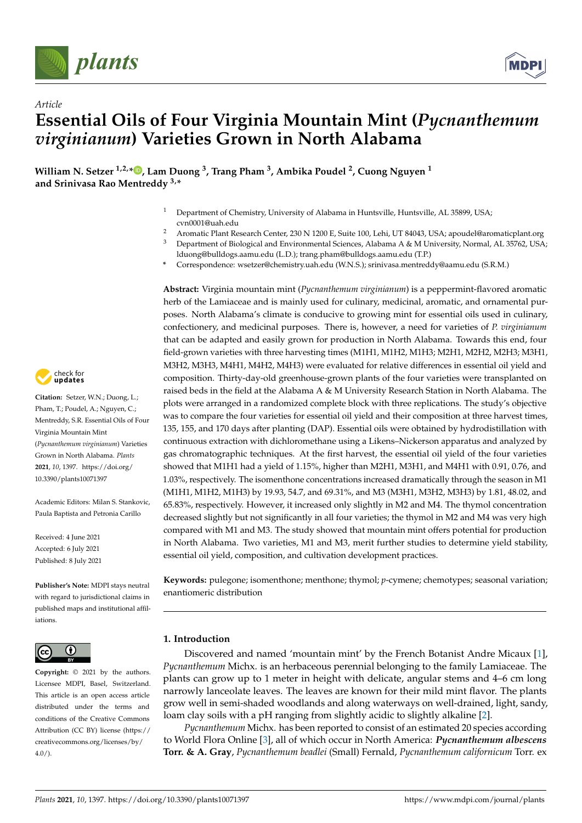

*Article*



# **Essential Oils of Four Virginia Mountain Mint (***Pycnanthemum virginianum***) Varieties Grown in North Alabama**

**William N. Setzer 1,2,\* [,](https://orcid.org/0000-0002-3639-0528) Lam Duong <sup>3</sup> , Trang Pham <sup>3</sup> , Ambika Poudel <sup>2</sup> , Cuong Nguyen <sup>1</sup> and Srinivasa Rao Mentreddy 3,\***

- Department of Chemistry, University of Alabama in Huntsville, Huntsville, AL 35899, USA; cvn0001@uah.edu
- 2 Aromatic Plant Research Center, 230 N 1200 E, Suite 100, Lehi, UT 84043, USA; apoudel@aromaticplant.org<br>3 Department of Biological and Environmental Sciences, Alabama A & M University Normal, AI, 35762, USA
- Department of Biological and Environmental Sciences, Alabama A & M University, Normal, AL 35762, USA; lduong@bulldogs.aamu.edu (L.D.); trang.pham@bulldogs.aamu.edu (T.P.)
- **\*** Correspondence: wsetzer@chemistry.uah.edu (W.N.S.); srinivasa.mentreddy@aamu.edu (S.R.M.)

**Abstract:** Virginia mountain mint (*Pycnanthemum virginianum*) is a peppermint-flavored aromatic herb of the Lamiaceae and is mainly used for culinary, medicinal, aromatic, and ornamental purposes. North Alabama's climate is conducive to growing mint for essential oils used in culinary, confectionery, and medicinal purposes. There is, however, a need for varieties of *P. virginianum* that can be adapted and easily grown for production in North Alabama. Towards this end, four field-grown varieties with three harvesting times (M1H1, M1H2, M1H3; M2H1, M2H2, M2H3; M3H1, M3H2, M3H3, M4H1, M4H2, M4H3) were evaluated for relative differences in essential oil yield and composition. Thirty-day-old greenhouse-grown plants of the four varieties were transplanted on raised beds in the field at the Alabama A & M University Research Station in North Alabama. The plots were arranged in a randomized complete block with three replications. The study's objective was to compare the four varieties for essential oil yield and their composition at three harvest times, 135, 155, and 170 days after planting (DAP). Essential oils were obtained by hydrodistillation with continuous extraction with dichloromethane using a Likens–Nickerson apparatus and analyzed by gas chromatographic techniques. At the first harvest, the essential oil yield of the four varieties showed that M1H1 had a yield of 1.15%, higher than M2H1, M3H1, and M4H1 with 0.91, 0.76, and 1.03%, respectively. The isomenthone concentrations increased dramatically through the season in M1 (M1H1, M1H2, M1H3) by 19.93, 54.7, and 69.31%, and M3 (M3H1, M3H2, M3H3) by 1.81, 48.02, and 65.83%, respectively. However, it increased only slightly in M2 and M4. The thymol concentration decreased slightly but not significantly in all four varieties; the thymol in M2 and M4 was very high compared with M1 and M3. The study showed that mountain mint offers potential for production in North Alabama. Two varieties, M1 and M3, merit further studies to determine yield stability, essential oil yield, composition, and cultivation development practices.

**Keywords:** pulegone; isomenthone; menthone; thymol; *p*-cymene; chemotypes; seasonal variation; enantiomeric distribution

## **1. Introduction**

Discovered and named 'mountain mint' by the French Botanist Andre Micaux [\[1\]](#page-11-0), *Pycnanthemum* Michx. is an herbaceous perennial belonging to the family Lamiaceae. The plants can grow up to 1 meter in height with delicate, angular stems and 4–6 cm long narrowly lanceolate leaves. The leaves are known for their mild mint flavor. The plants grow well in semi-shaded woodlands and along waterways on well-drained, light, sandy, loam clay soils with a pH ranging from slightly acidic to slightly alkaline [\[2\]](#page-11-1).

*Pycnanthemum* Michx. has been reported to consist of an estimated 20 species according to World Flora Online [\[3\]](#page-11-2), all of which occur in North America: *Pycnanthemum albescens* **Torr. & A. Gray**, *Pycnanthemum beadlei* (Small) Fernald, *Pycnanthemum californicum* Torr. ex



**Citation:** Setzer, W.N.; Duong, L.; Pham, T.; Poudel, A.; Nguyen, C.; Mentreddy, S.R. Essential Oils of Four Virginia Mountain Mint (*Pycnanthemum virginianum*) Varieties Grown in North Alabama. *Plants* **2021**, *10*, 1397. [https://doi.org/](https://doi.org/10.3390/plants10071397) [10.3390/plants10071397](https://doi.org/10.3390/plants10071397)

Academic Editors: Milan S. Stankovic, Paula Baptista and Petronia Carillo

Received: 4 June 2021 Accepted: 6 July 2021 Published: 8 July 2021

**Publisher's Note:** MDPI stays neutral with regard to jurisdictional claims in published maps and institutional affiliations.



**Copyright:** © 2021 by the authors. Licensee MDPI, Basel, Switzerland. This article is an open access article distributed under the terms and conditions of the Creative Commons Attribution (CC BY) license (https:/[/](https://creativecommons.org/licenses/by/4.0/) [creativecommons.org/licenses/by/](https://creativecommons.org/licenses/by/4.0/)  $4.0/$ ).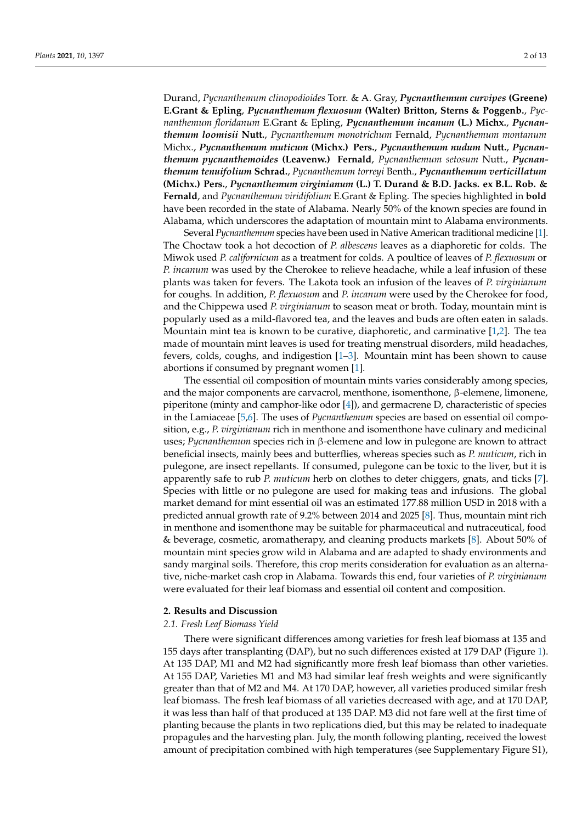Durand, *Pycnanthemum clinopodioides* Torr. & A. Gray, *Pycnanthemum curvipes* **(Greene) E.Grant & Epling**, *Pycnanthemum flexuosum* **(Walter) Britton, Sterns & Poggenb.**, *Pycnanthemum floridanum* E.Grant & Epling, *Pycnanthemum incanum* **(L.) Michx.**, *Pycnanthemum loomisii* **Nutt.**, *Pycnanthemum monotrichum* Fernald, *Pycnanthemum montanum* Michx., *Pycnanthemum muticum* **(Michx.) Pers.**, *Pycnanthemum nudum* **Nutt.**, *Pycnanthemum pycnanthemoides* **(Leavenw.) Fernald**, *Pycnanthemum setosum* Nutt., *Pycnanthemum tenuifolium* **Schrad.**, *Pycnanthemum torreyi* Benth., *Pycnanthemum verticillatum* **(Michx.) Pers.**, *Pycnanthemum virginianum* **(L.) T. Durand & B.D. Jacks. ex B.L. Rob. & Fernald**, and *Pycnanthemum viridifolium* E.Grant & Epling. The species highlighted in **bold** have been recorded in the state of Alabama. Nearly 50% of the known species are found in Alabama, which underscores the adaptation of mountain mint to Alabama environments.

Several *Pycnanthemum* species have been used in Native American traditional medicine [\[1\]](#page-11-0). The Choctaw took a hot decoction of *P. albescens* leaves as a diaphoretic for colds. The Miwok used *P. californicum* as a treatment for colds. A poultice of leaves of *P. flexuosum* or *P. incanum* was used by the Cherokee to relieve headache, while a leaf infusion of these plants was taken for fevers. The Lakota took an infusion of the leaves of *P. virginianum* for coughs. In addition, *P. flexuosum* and *P. incanum* were used by the Cherokee for food, and the Chippewa used *P. virginianum* to season meat or broth. Today, mountain mint is popularly used as a mild-flavored tea, and the leaves and buds are often eaten in salads. Mountain mint tea is known to be curative, diaphoretic, and carminative [\[1](#page-11-0)[,2\]](#page-11-1). The tea made of mountain mint leaves is used for treating menstrual disorders, mild headaches, fevers, colds, coughs, and indigestion [\[1](#page-11-0)[–3\]](#page-11-2). Mountain mint has been shown to cause abortions if consumed by pregnant women [\[1\]](#page-11-0).

The essential oil composition of mountain mints varies considerably among species, and the major components are carvacrol, menthone, isomenthone, β-elemene, limonene, piperitone (minty and camphor-like odor  $[4]$ ), and germacrene D, characteristic of species in the Lamiaceae [\[5,](#page-11-4)[6\]](#page-11-5). The uses of *Pycnanthemum* species are based on essential oil composition, e.g., *P. virginianum* rich in menthone and isomenthone have culinary and medicinal uses; *Pycnanthemum* species rich in β-elemene and low in pulegone are known to attract beneficial insects, mainly bees and butterflies, whereas species such as *P. muticum*, rich in pulegone, are insect repellants. If consumed, pulegone can be toxic to the liver, but it is apparently safe to rub *P. muticum* herb on clothes to deter chiggers, gnats, and ticks [\[7\]](#page-11-6). Species with little or no pulegone are used for making teas and infusions. The global market demand for mint essential oil was an estimated 177.88 million USD in 2018 with a predicted annual growth rate of 9.2% between 2014 and 2025 [\[8\]](#page-11-7). Thus, mountain mint rich in menthone and isomenthone may be suitable for pharmaceutical and nutraceutical, food & beverage, cosmetic, aromatherapy, and cleaning products markets [\[8\]](#page-11-7). About 50% of mountain mint species grow wild in Alabama and are adapted to shady environments and sandy marginal soils. Therefore, this crop merits consideration for evaluation as an alternative, niche-market cash crop in Alabama. Towards this end, four varieties of *P. virginianum* were evaluated for their leaf biomass and essential oil content and composition.

#### **2. Results and Discussion**

## *2.1. Fresh Leaf Biomass Yield*

There were significant differences among varieties for fresh leaf biomass at 135 and 155 days after transplanting (DAP), but no such differences existed at 179 DAP (Figure [1\)](#page-2-0). At 135 DAP, M1 and M2 had significantly more fresh leaf biomass than other varieties. At 155 DAP, Varieties M1 and M3 had similar leaf fresh weights and were significantly greater than that of M2 and M4. At 170 DAP, however, all varieties produced similar fresh leaf biomass. The fresh leaf biomass of all varieties decreased with age, and at 170 DAP, it was less than half of that produced at 135 DAP. M3 did not fare well at the first time of planting because the plants in two replications died, but this may be related to inadequate propagules and the harvesting plan. July, the month following planting, received the lowest amount of precipitation combined with high temperatures (see Supplementary Figure S1),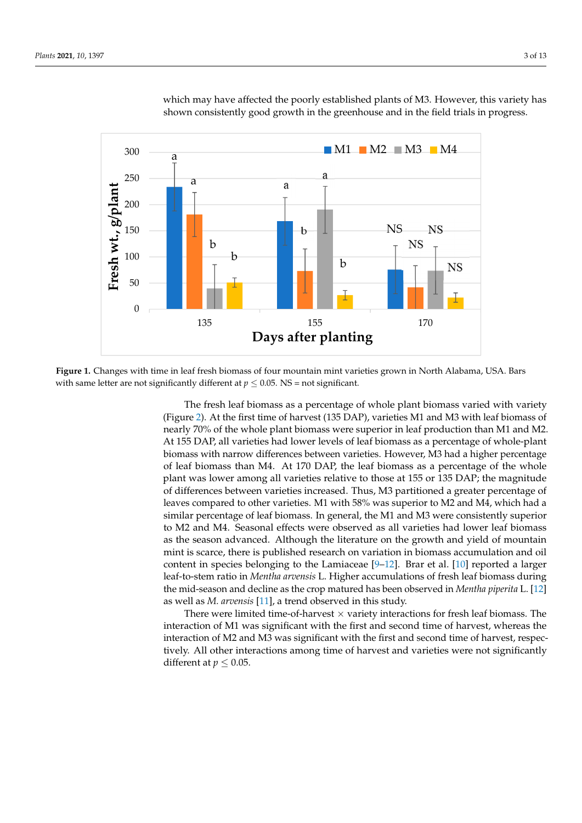<span id="page-2-0"></span>

planting because the plants in two replications in two replications died, but this may be related to induce the  $\alpha$ 

which may have affected the poorly established plants of M3. However, this variety has shown consistently good growth in the greenhouse and in the field trials in progress. has shown consistently good growth in the greenhouse and in the field trials in progress. est amount of precipitation combined with high temperatures (see Supplementary Figure which may have affected the poorly established plants of M3. However, the

Figure 1. Changes with time in leaf fresh biomass of four mountain mint varieties grown in North Alabama, USA. Bars with same letter are not significantly different at  $p \le 0.05$ . NS = not significant.

The fresh leaf biomass as a percentage of whole plant biomass varied with variety The fresh leaf biomass as a percentage of whole plant biomass varied with variety (Figure 2). At the firs[t ti](#page-3-0)me of harvest (135 DAP), varieties M1 and M3 with leaf biomass (Figure 2). At the first time of harvest (135 DAP), varieties M1 and M3 with leaf biomass of nearly 70% of the whole plant biomass were superior in leaf production than M1 and M2. M2. At 155 DAP, all varieties had lower levels of leaf biomass as a percentage of whole-At 155 DAP, all varieties had lower levels of leaf biomass as a percentage of whole-plant biomass with narrow differences between varieties. However, M3 had a higher percentage of leaf biomass than M4. At 170 DAP, the leaf biomass as a percentage of the whole plant was lower among all varieties relative to those at 155 or 135 DAP; the magnitude differences between varieties increased. Thus, M3 partitioned a greater percentage of of differences between varieties increased. Thus, M3 partitioned a greater percentage of leaves compared to other varieties. M1 with 58% was superior to M2 and M4, which had leaves compared to other varieties. M1 with 58% was superior to M2 and M4, which had a a similar percentage of leaf biomass. In general, the M1 and M3 were consistently superior similar percentage of leaf biomass. In general, the M1 and M3 were consistently superior to M2 and M4. Seasonal effects were observed as all varieties had lower leaf biomass as the season advanced. Although the literature on the growth and yield of mountain mint is scarce, there is published research on variation in biomass accumulation and oil content in species belonging to the Lamiaceae  $[9-12]$  $[9-12]$ . Brar et al.  $[10]$  reported a larger leaf-to-stem ratio in *Mentha arvensis* L. Higher accumulations of fresh leaf biomass during the mid-season and decline as the crop matured has been observed in *Mentha piperita* L. [\[12\]](#page-11-9) well as *M. arvensis* [11], a trend observed in this study. as well as *M. arvensis* [\[11\]](#page-11-11), a trend observed in this study.

There were limited time-of-harvest  $\times$  variety interactions for fresh leaf biomass. The interaction of M1 was significant with the first and second time of harvest, whereas the interaction of M1 was significant with the first and second time of harvest, whereas the interaction of M2 and M3 was significant with the first and second time of harvest, respectively. All other interactions among time of harvest and varieties were not significantly tively. All other interactions among time of harvest and varieties were not significantly different at  $p \leq 0.05$ .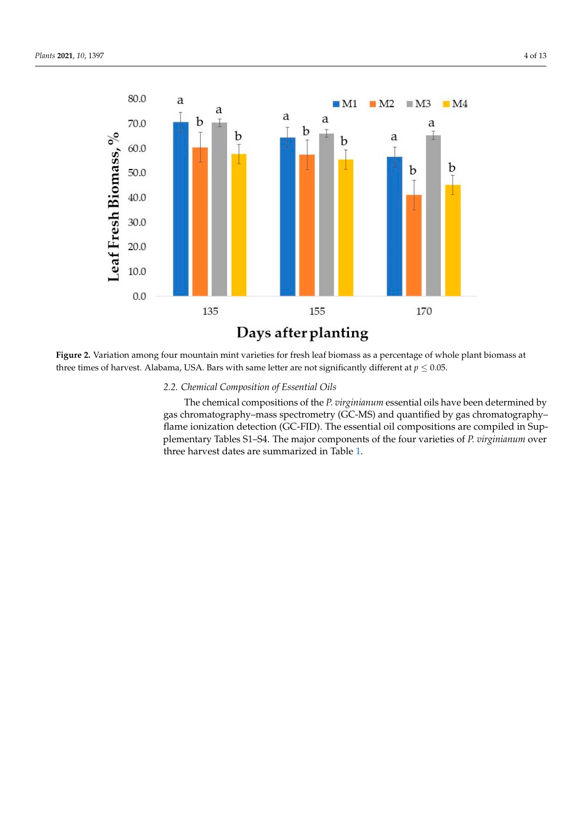<span id="page-3-0"></span>

of harvest. Alabama JISA Bars with same letter are not significantly different at  $n < 0.05$ three times of harvest. Alabama, USA. Bars with same letter are not significantly different at  $p \leq 0.05$ . **Figure 2.** Variation among four mountain mint varieties for fresh leaf biomass as a percentage of whole plant biomass at

2.2. Chemical Composition of Essential Oils

gas chromatography–mass spectrometry (GC-MS) and quantified by gas chromatography– flame ionization detection (GC-FID). The essential oil compositions are compiled in Supplementary Tables S1–S4. The major components of the four varieties of *P. virginianum* over three harvest dates are summarized in Table 1. The chemical compositions of the *P. virginianum* essential oils have been determined by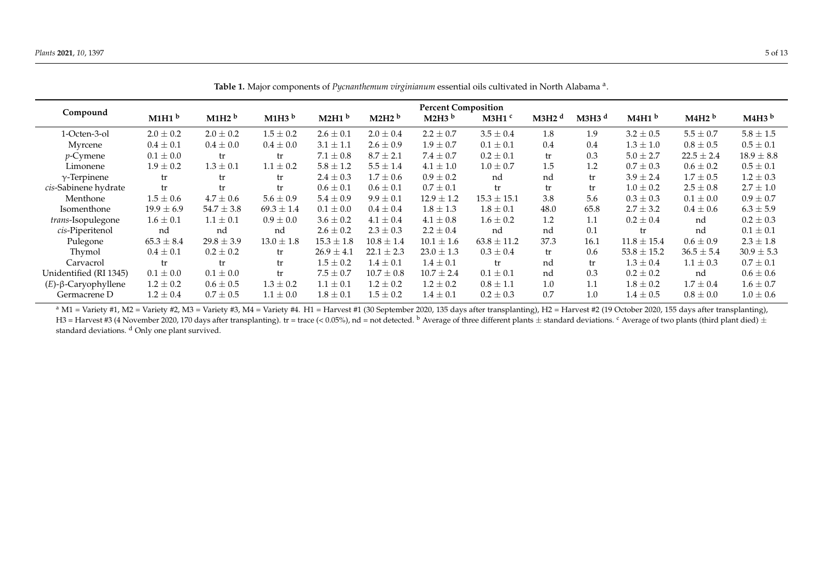|                                | <b>Percent Composition</b> |                   |                   |                   |                   |                   |                   |                   |                     |                   |                   |                   |
|--------------------------------|----------------------------|-------------------|-------------------|-------------------|-------------------|-------------------|-------------------|-------------------|---------------------|-------------------|-------------------|-------------------|
| Compound                       | M1H1 <sup>b</sup>          | M1H2 <sup>b</sup> | M1H3 <sup>b</sup> | M2H1 <sup>b</sup> | M2H2 <sup>b</sup> | M2H3 <sup>b</sup> | M3H1 <sup>c</sup> | M3H2 <sup>d</sup> | $M3H3$ <sup>d</sup> | M4H1 <sup>b</sup> | M4H2 <sup>b</sup> | M4H3 <sup>b</sup> |
| 1-Octen-3-ol                   | $2.0 \pm 0.2$              | $2.0 \pm 0.2$     | $1.5 \pm 0.2$     | $2.6 \pm 0.1$     | $2.0 \pm 0.4$     | $2.2 \pm 0.7$     | $3.5 \pm 0.4$     | 1.8               | 1.9                 | $3.2 \pm 0.5$     | $5.5 \pm 0.7$     | $5.8\pm1.5$       |
| Myrcene                        | $0.4 \pm 0.1$              | $0.4 \pm 0.0$     | $0.4\pm0.0$       | $3.1 \pm 1.1$     | $2.6 \pm 0.9$     | $1.9 \pm 0.7$     | $0.1 \pm 0.1$     | 0.4               | 0.4                 | $1.3 \pm 1.0$     | $0.8 \pm 0.5$     | $0.5 \pm 0.1$     |
| $p$ -Cymene                    | $0.1 \pm 0.0$              | tr                | tr                | $7.1 \pm 0.8$     | $8.7 \pm 2.1$     | $7.4 \pm 0.7$     | $0.2 \pm 0.1$     | tr                | 0.3                 | $5.0 \pm 2.7$     | $22.5 \pm 2.4$    | $18.9 \pm 8.8$    |
| Limonene                       | $1.9 \pm 0.2$              | $1.3 \pm 0.1$     | $1.1 \pm 0.2$     | $5.8 \pm 1.2$     | $5.5 \pm 1.4$     | $4.1 \pm 1.0$     | $1.0 \pm 0.7$     | 1.5               | 1.2                 | $0.7 \pm 0.3$     | $0.6 \pm 0.2$     | $0.5 \pm 0.1$     |
| $\gamma$ -Terpinene            | tr                         | tr                | tr                | $2.4 \pm 0.3$     | $1.7 \pm 0.6$     | $0.9 \pm 0.2$     | nd                | nd                | tr                  | $3.9 \pm 2.4$     | $1.7 \pm 0.5$     | $1.2 \pm 0.3$     |
| cis-Sabinene hydrate           | tr                         | tr                | tr                | $0.6 \pm 0.1$     | $0.6 \pm 0.1$     | $0.7 \pm 0.1$     | tr                | tr                | tr                  | $1.0 \pm 0.2$     | $2.5 \pm 0.8$     | $2.7 \pm 1.0$     |
| Menthone                       | $1.5 \pm 0.6$              | $4.7 \pm 0.6$     | $5.6 \pm 0.9$     | $5.4 \pm 0.9$     | $9.9 \pm 0.1$     | $12.9 \pm 1.2$    | $15.3 \pm 15.1$   | 3.8               | 5.6                 | $0.3 \pm 0.3$     | $0.1 \pm 0.0$     | $0.9 \pm 0.7$     |
| Isomenthone                    | $19.9 \pm 6.9$             | $54.7 \pm 3.8$    | $69.3 \pm 1.4$    | $0.1 \pm 0.0$     | $0.4 \pm 0.4$     | $1.8 \pm 1.3$     | $1.8 \pm 0.1$     | 48.0              | 65.8                | $2.7 \pm 3.2$     | $0.4 \pm 0.6$     | $6.3 \pm 5.9$     |
| <i>trans-Isopulegone</i>       | $1.6 \pm 0.1$              | $1.1 \pm 0.1$     | $0.9 \pm 0.0$     | $3.6 \pm 0.2$     | $4.1 \pm 0.4$     | $4.1 \pm 0.8$     | $1.6 \pm 0.2$     | 1.2               | 1.1                 | $0.2 \pm 0.4$     | nd                | $0.2 \pm 0.3$     |
| cis-Piperitenol                | nd                         | nd                | nd                | $2.6 \pm 0.2$     | $2.3 \pm 0.3$     | $2.2 \pm 0.4$     | nd                | nd                | 0.1                 | tr                | nd                | $0.1 \pm 0.1$     |
| Pulegone                       | $65.3 \pm 8.4$             | $29.8 \pm 3.9$    | $13.0 \pm 1.8$    | $15.3 \pm 1.8$    | $10.8 \pm 1.4$    | $10.1 \pm 1.6$    | $63.8 \pm 11.2$   | 37.3              | 16.1                | $11.8 \pm 15.4$   | $0.6 \pm 0.9$     | $2.3 \pm 1.8$     |
| Thymol                         | $0.4 \pm 0.1$              | $0.2 \pm 0.2$     | tr                | $26.9 \pm 4.1$    | $22.1 \pm 2.3$    | $23.0 \pm 1.3$    | $0.3 \pm 0.4$     | tr                | 0.6                 | $53.8 \pm 15.2$   | $36.5 \pm 5.4$    | $30.9 \pm 5.3$    |
| Carvacrol                      | tr                         | tr                | tr                | $1.5 \pm 0.2$     | $1.4 \pm 0.1$     | $1.4 \pm 0.1$     | tr                | nd                | tr                  | $1.3 \pm 0.4$     | $1.1 \pm 0.3$     | $0.7 \pm 0.1$     |
| Unidentified (RI 1345)         | $0.1 \pm 0.0$              | $0.1 \pm 0.0$     | tr                | $7.5 \pm 0.7$     | $10.7 \pm 0.8$    | $10.7 \pm 2.4$    | $0.1 \pm 0.1$     | nd                | 0.3                 | $0.2 \pm 0.2$     | nd                | $0.6 \pm 0.6$     |
| $(E)$ - $\beta$ -Caryophyllene | $1.2 \pm 0.2$              | $0.6 \pm 0.5$     | $1.3 \pm 0.2$     | $1.1 \pm 0.1$     | $1.2 \pm 0.2$     | $1.2 \pm 0.2$     | $0.8 \pm 1.1$     | 1.0               | 1.1                 | $1.8 \pm 0.2$     | $1.7 \pm 0.4$     | $1.6 \pm 0.7$     |
| Germacrene D                   | $1.2 \pm 0.4$              | $0.7 \pm 0.5$     | $1.1 \pm 0.0$     | $1.8 \pm 0.1$     | $1.5 \pm 0.2$     | $1.4 \pm 0.1$     | $0.2 \pm 0.3$     | 0.7               | 1.0                 | $1.4 \pm 0.5$     | $0.8 \pm 0.0$     | $1.0 \pm 0.6$     |

Table 1. Major components of *Pycnanthemum virginianum* essential oils cultivated in North Alabama<sup>a</sup>.

<span id="page-4-0"></span><sup>a</sup> M1 = Variety #1, M2 = Variety #2, M3 = Variety #3, M4 = Variety #4. H1 = Harvest #1 (30 September 2020, 135 days after transplanting), H2 = Harvest #2 (19 October 2020, 155 days after transplanting), H3 = Harvest #3 (4 November 2020, 170 days after transplanting). tr = trace (< 0.05%), nd = not detected. <sup>b</sup> Average of three different plants ± standard deviations. <sup>c</sup> Average of two plants (third plant died) ± standard deviations. <sup>d</sup> Only one plant survived.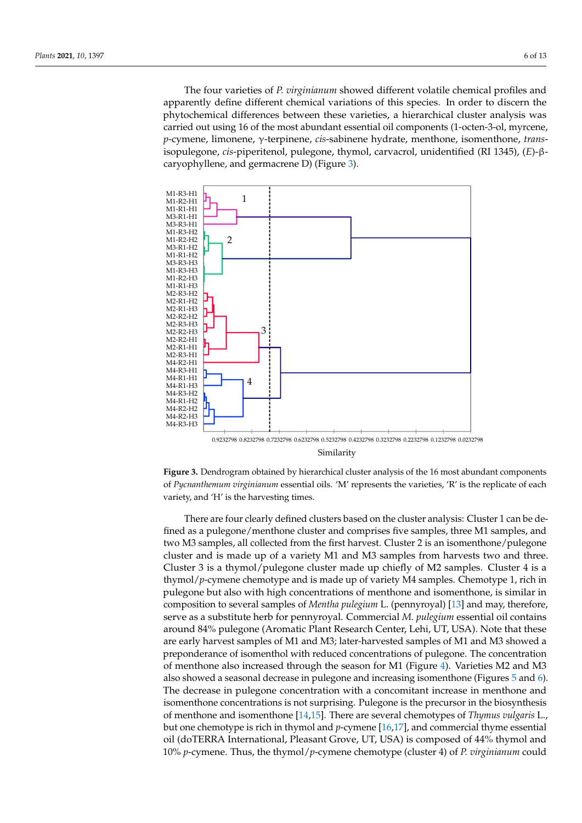The four varieties of *P. virginianum* showed different volatile chemical profiles and The four varieties of *P. virginianum* showed different volatile chemical profiles and apparently define different chemical variations of this species. In order to discern the phytochemical differences between these varieties, a hierarchical cluster analysis was carried out using 16 of the most abundant essential oil components (1-octen-3-ol, myrcene,  $p$ -cymene, limonene, γ-terpinene, *cis*-sabinene hydrate, menthone, isomenthone, *trans*isopulegone, *cis-*piperitenol, pulegone, thymol, carvacrol, unidentified (RI 1345), (*E*)-βcaryophyllene, and germacrene D) (Figure [3\)](#page-5-0). phyllene, and germacrene D) (Figure 3).

<span id="page-5-0"></span>

Similarity



fined as a pulegone/menthone cluster and comprises five samples, three M1 samples, and two M3 samples, all collected from the first harvest. Cluster 2 is an isomenthone/pulegone cluster and is made up of a variety M1 and M3 samples from harvests two and three. Cluster 3 is a thymol/pulegone cluster made up chiefly of M2 samples. Cluster 4 is a thymol/p-cymene chemotype and is made up of variety M4 samples. Chemotype 1, rich in pulegone but also with high concentrations of menthone and isomenthone, is similar in composition to several samples of *Mentha pulegium* L. (pennyroyal) [13] and may, therefore, serve as a substitute herb for pennyroyal. Commercial *M. pulegium* essential oil contains around 84% pulegone (Aromatic Plant Research Center, Lehi, UT, USA). Note that these are early harvest samples of M1 and M3; later-harvested samples of M1 and M3 showed a preponderance of isomenthol with reduced concentrations of pulegone. The concentration of menthone also i[nc](#page-6-0)reased through the season for M1 (Figure 4). Varieties M2 and M3 also showed a seasonal decrease in pulegone and increasing isomenthone (Figures  $5$  and  $6$ ). The decrease in pulegone concentration with a concomitant increase in menthone and isomenthone concentrations is not surprising. Pulegone is the precursor in the biosynthesis of menthone and isomenthone [\[14,](#page-11-13)[15\]](#page-12-0). There are several chemotypes of *Thymus vulgaris* L., but one chemotype is rich in thymol and *p*-cymene [\[16,](#page-12-1)[17\]](#page-12-2), and commercial thyme essential oil (doTERRA International, Pleasant Grove, UT, USA) is composed of 44% thymol and There are four clearly defined clusters based on the cluster analysis: Cluster 1 can be de-10% *p*-cymene. Thus, the thymol/*p*-cymene chemotype (cluster 4) of *P. virginianum* could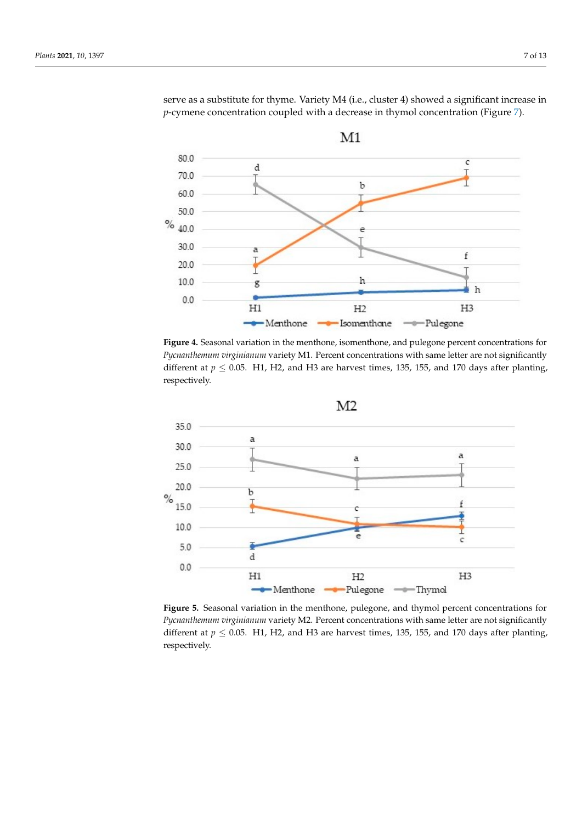<span id="page-6-0"></span>

serve as a substitute for thyme. Variety M4 (i.e., cluster 4) showed a significant increase in *p*-cymene concentration coupled with a decrease in thymol concentration (Figure [7\)](#page-7-1).

posed of 44% thymol and 10% *p*-cymene. Thus, the thymol/*p*-cymene chemotype (cluster

Figure 4. Seasonal variation in the menthone, isomenthone, and pulegone percent concentrations for Pycnanthemum virginianum variety M1. Percent concentrations with same letter are not significantly different at  $p \le 0.05$ . H1, H2, and H3 are harvest times, 135, 155, and 170 days after planting, respectively. respectively. respectively.

<span id="page-6-1"></span>

Pycnanthemum virginianum variety M2. Percent concentrations with same letter are not significantly different at  $p \le 0.05$ . H1, H2, and H3 are harvest times, 135, 155, and 170 days after planting, cantly different at *p* ≤ 0.05. H1, H2, and H3 are harvest times, 135, 155, and 170 days after planting, respectively. **Figure 5.** Seasonal variation in the menthone, pulegone, and thymol percent concentrations for **Figure 5.** Seasonal variation in the menthone, pulegone, and thymol percent concentrations for respectively. respectively.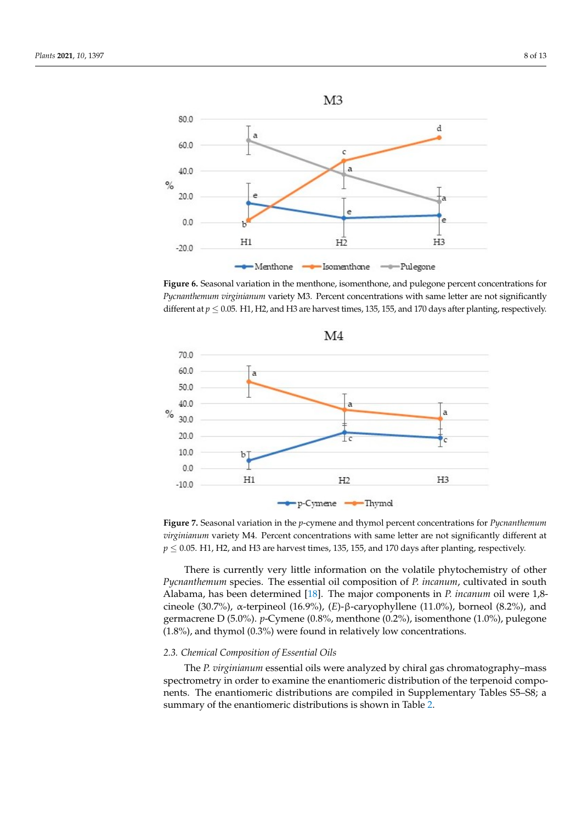<span id="page-7-0"></span>

**Figure 6.** Seasonal variation in the menthone, isomenthone, and pulegone percent concentrations **Figure 6.** Seasonal variation in the menthone, isomenthone, and pulegone percent concentrations for Pycnanthemum virginianum variety M3. Percent concentrations with same letter are not significantly different at  $p \leq 0.05$ . H1, H2, and H3 are harvest times, 135, 155, and 170 days after planting, respectively. **Figure 6.** Beasonal variation in the menthone, isomenthone, and pulegone percent concentrations in

<span id="page-7-1"></span>

virginianum variety M4. Percent concentrations with same letter are not significantly different at *v*  $\sim$  0.05 H<sub>1</sub> H<sub>2</sub> and H<sub>2</sub> are harvest times 125 155 and 170 days after planting respectively ≤ 0.05. H1, H2, and H3 are harvest times, 135, 155, and 170 days after planting, respectively. Figure 7. Seasonal variation in the  $p$ -cymene and thymol percent concentrations for  $Py can the mum$  $p \le 0.05$ . H1, H2, and H3 are harvest times, 135, 155, and 170 days after planting, respectively.

Pycnanthemum species. The essential oil composition of P. incanum, cultivated in south Alabama, has been determined [18]. [The](#page-12-3) major components in *P. incanum* oil were 1,8cineole (30.7%),  $\alpha$ -terpineol (16.9%), (E)- $\beta$ -caryophyllene (11.0%), borneol (8.2%), and germacrene D (5.0%). p-Cymene (0.8%, menthone (0.2%), isomenthone (1.0%), pulegone (1.8%), and thymol (0.3%) were found in relatively low concentrations. There is currently very little information on the volatile phytochemistry of other

## *2.3. Chemical Composition of Essential Oils 2.3. Chemical Composition of Essential Oils*

The P. virginianum essential oils were analyzed by chiral gas chromatography-mass spectrometry in order to examine the enantiomeric distribution of the terpenoid components. The enantiomeric distributions are compiled in Supplementary Tables S5-S8; a summary of the enantiomeric distributions is shown in Table 2.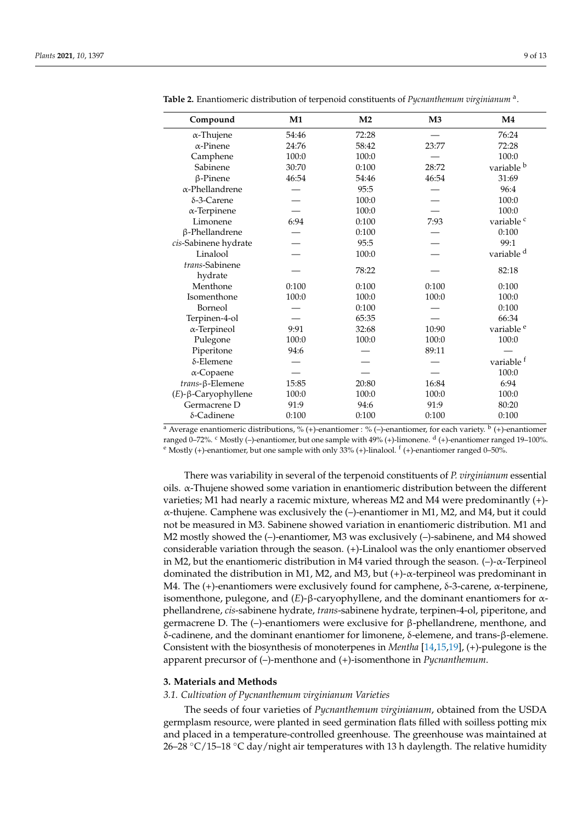| Compound                       | M1    | M <sub>2</sub> | M <sub>3</sub> | M4                    |
|--------------------------------|-------|----------------|----------------|-----------------------|
| $\alpha$ -Thujene              | 54:46 | 72:28          |                | 76:24                 |
| $\alpha$ -Pinene               | 24:76 | 58:42          | 23:77          | 72:28                 |
| Camphene                       | 100:0 | 100:0          |                | 100:0                 |
| Sabinene                       | 30:70 | 0:100          | 28:72          | variable b            |
| $\beta$ -Pinene                | 46:54 | 54:46          | 46:54          | 31:69                 |
| $\alpha$ -Phellandrene         |       | 95:5           |                | 96:4                  |
| $\delta$ -3-Carene             |       | 100:0          |                | 100:0                 |
| $\alpha$ -Terpinene            |       | 100:0          |                | 100:0                 |
| Limonene                       | 6:94  | 0:100          | 7:93           | variable <sup>c</sup> |
| β-Phellandrene                 |       | 0:100          |                | 0:100                 |
| cis-Sabinene hydrate           |       | 95:5           |                | 99:1                  |
| Linalool                       |       | 100:0          |                | variable <sup>d</sup> |
| trans-Sabinene                 |       | 78:22          |                | 82:18                 |
| hydrate                        |       |                |                |                       |
| Menthone                       | 0:100 | 0:100          | 0:100          | 0:100                 |
| Isomenthone                    | 100:0 | 100:0          | 100:0          | 100:0                 |
| Borneol                        |       | 0:100          |                | 0:100                 |
| Terpinen-4-ol                  |       | 65:35          |                | 66:34                 |
| $\alpha$ -Terpineol            | 9:91  | 32:68          | 10:90          | variable <sup>e</sup> |
| Pulegone                       | 100:0 | 100:0          | 100:0          | 100:0                 |
| Piperitone                     | 94:6  |                | 89:11          |                       |
| $\delta$ -Elemene              |       |                |                | variable f            |
| $\alpha$ -Copaene              |       |                |                | 100:0                 |
| trans-β-Elemene                | 15:85 | 20:80          | 16:84          | 6:94                  |
| $(E)$ - $\beta$ -Caryophyllene | 100:0 | 100:0          | 100:0          | 100:0                 |
| Germacrene D                   | 91:9  | 94:6           | 91:9           | 80:20                 |
| δ-Cadinene                     | 0:100 | 0:100          | 0:100          | 0:100                 |

<span id="page-8-0"></span>**Table 2.** Enantiomeric distribution of terpenoid constituents of *Pycnanthemum virginianum* <sup>a</sup> .

<sup>a</sup> Average enantiomeric distributions, % (+)-enantiomer : % (-)-enantiomer, for each variety. <sup>b</sup> (+)-enantiomer ranged 0–72%. <sup>c</sup> Mostly (–)-enantiomer, but one sample with 49% (+)-limonene. <sup>d</sup> (+)-enantiomer ranged 19–100%.  $\text{e}$  Mostly (+)-enantiomer, but one sample with only 33% (+)-linalool.  $\text{f}$  (+)-enantiomer ranged 0–50%.

There was variability in several of the terpenoid constituents of *P. virginianum* essential oils. α-Thujene showed some variation in enantiomeric distribution between the different varieties; M1 had nearly a racemic mixture, whereas M2 and M4 were predominantly (+)-  $\alpha$ -thujene. Camphene was exclusively the (–)-enantiomer in M1, M2, and M4, but it could not be measured in M3. Sabinene showed variation in enantiomeric distribution. M1 and M2 mostly showed the (–)-enantiomer, M3 was exclusively (–)-sabinene, and M4 showed considerable variation through the season. (+)-Linalool was the only enantiomer observed in M2, but the enantiomeric distribution in M4 varied through the season. (–)- $\alpha$ -Terpineol dominated the distribution in M1, M2, and M3, but  $(+)$ - $\alpha$ -terpineol was predominant in M4. The (+)-enantiomers were exclusively found for camphene,  $\delta$ -3-carene, α-terpinene, isomenthone, pulegone, and (*E*)-β-caryophyllene, and the dominant enantiomers for αphellandrene, *cis*-sabinene hydrate, *trans*-sabinene hydrate, terpinen-4-ol, piperitone, and germacrene D. The (–)-enantiomers were exclusive for β-phellandrene, menthone, and δ-cadinene, and the dominant enantiomer for limonene, δ-elemene, and trans-β-elemene. Consistent with the biosynthesis of monoterpenes in *Mentha* [\[14,](#page-11-13)[15,](#page-12-0)[19\]](#page-12-4), (+)-pulegone is the apparent precursor of (–)-menthone and (+)-isomenthone in *Pycnanthemum*.

## **3. Materials and Methods**

## *3.1. Cultivation of Pycnanthemum virginianum Varieties*

The seeds of four varieties of *Pycnanthemum virginianum*, obtained from the USDA germplasm resource, were planted in seed germination flats filled with soilless potting mix and placed in a temperature-controlled greenhouse. The greenhouse was maintained at  $26-28$  °C/15–18 °C day/night air temperatures with 13 h daylength. The relative humidity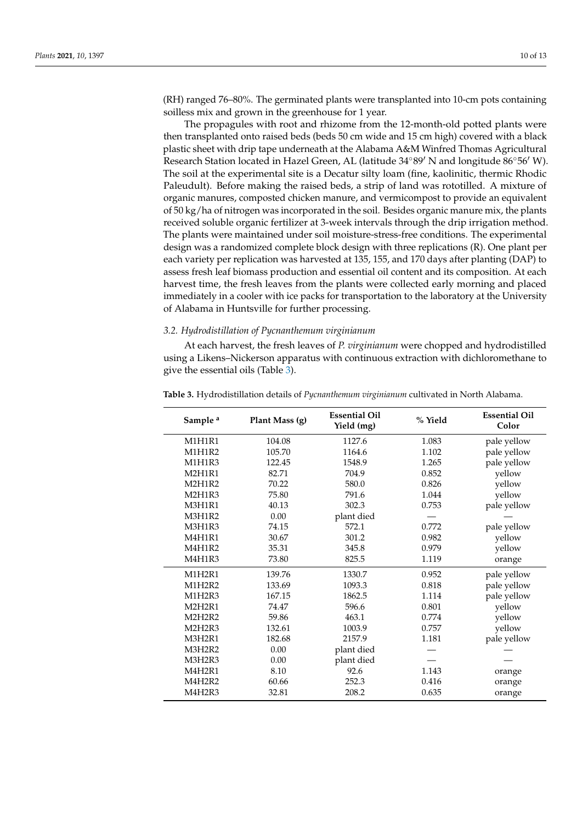(RH) ranged 76–80%. The germinated plants were transplanted into 10-cm pots containing soilless mix and grown in the greenhouse for 1 year.

The propagules with root and rhizome from the 12-month-old potted plants were then transplanted onto raised beds (beds 50 cm wide and 15 cm high) covered with a black plastic sheet with drip tape underneath at the Alabama A&M Winfred Thomas Agricultural Research Station located in Hazel Green, AL (latitude  $34°89'$  N and longitude  $86°56'$  W). The soil at the experimental site is a Decatur silty loam (fine, kaolinitic, thermic Rhodic Paleudult). Before making the raised beds, a strip of land was rototilled. A mixture of organic manures, composted chicken manure, and vermicompost to provide an equivalent of 50 kg/ha of nitrogen was incorporated in the soil. Besides organic manure mix, the plants received soluble organic fertilizer at 3-week intervals through the drip irrigation method. The plants were maintained under soil moisture-stress-free conditions. The experimental design was a randomized complete block design with three replications (R). One plant per each variety per replication was harvested at 135, 155, and 170 days after planting (DAP) to assess fresh leaf biomass production and essential oil content and its composition. At each harvest time, the fresh leaves from the plants were collected early morning and placed immediately in a cooler with ice packs for transportation to the laboratory at the University of Alabama in Huntsville for further processing.

## *3.2. Hydrodistillation of Pycnanthemum virginianum*

At each harvest, the fresh leaves of *P. virginianum* were chopped and hydrodistilled using a Likens–Nickerson apparatus with continuous extraction with dichloromethane to give the essential oils (Table [3\)](#page-10-0).

| Sample <sup>a</sup> | Plant Mass (g) | <b>Essential Oil</b><br>Yield (mg) | % Yield | <b>Essential Oil</b><br>Color |
|---------------------|----------------|------------------------------------|---------|-------------------------------|
| M1H1R1              | 104.08         | 1127.6                             | 1.083   | pale yellow                   |
| M1H1R2              | 105.70         | 1164.6                             | 1.102   | pale yellow                   |
| M1H1R3              | 122.45         | 1548.9                             | 1.265   | pale yellow                   |
| M2H1R1              | 82.71          | 704.9                              | 0.852   | yellow                        |
| M2H1R2              | 70.22          | 580.0                              | 0.826   | yellow                        |
| M2H1R3              | 75.80          | 791.6                              | 1.044   | yellow                        |
| M3H1R1              | 40.13          | 302.3                              | 0.753   | pale yellow                   |
| M3H1R2              | 0.00           | plant died                         |         |                               |
| M3H1R3              | 74.15          | 572.1                              | 0.772   | pale yellow                   |
| M4H1R1              | 30.67          | 301.2                              | 0.982   | yellow                        |
| M4H1R2              | 35.31          | 345.8                              | 0.979   | yellow                        |
| M4H1R3              | 73.80          | 825.5                              | 1.119   | orange                        |
| M1H2R1              | 139.76         | 1330.7                             | 0.952   | pale yellow                   |
| M1H2R2              | 133.69         | 1093.3                             | 0.818   | pale yellow                   |
| M1H2R3              | 167.15         | 1862.5                             | 1.114   | pale yellow                   |
| <b>M2H2R1</b>       | 74.47          | 596.6                              | 0.801   | yellow                        |
| M2H2R2              | 59.86          | 463.1                              | 0.774   | yellow                        |
| M2H2R3              | 132.61         | 1003.9                             | 0.757   | yellow                        |
| M3H2R1              | 182.68         | 2157.9                             | 1.181   | pale yellow                   |
| M3H2R2              | 0.00           | plant died                         |         |                               |
| M3H2R3              | 0.00           | plant died                         |         |                               |
| M4H2R1              | 8.10           | 92.6                               | 1.143   | orange                        |
| M4H2R2              | 60.66          | 252.3                              | 0.416   | orange                        |
| M4H2R3              | 32.81          | 208.2                              | 0.635   | orange                        |

**Table 3.** Hydrodistillation details of *Pycnanthemum virginianum* cultivated in North Alabama.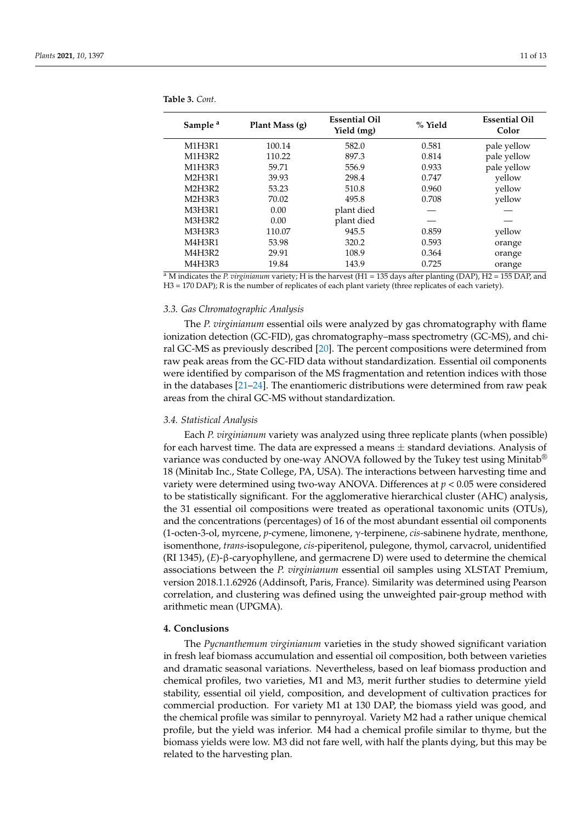| Sample <sup>a</sup> | Plant Mass (g) | <b>Essential Oil</b><br>Yield (mg) | % Yield | <b>Essential Oil</b><br>Color |
|---------------------|----------------|------------------------------------|---------|-------------------------------|
| M1H3R1              | 100.14         | 582.0                              | 0.581   | pale yellow                   |
| M1H3R2              | 110.22         | 897.3                              | 0.814   | pale yellow                   |
| M1H3R3              | 59.71          | 556.9                              | 0.933   | pale yellow                   |
| <b>M2H3R1</b>       | 39.93          | 298.4                              | 0.747   | yellow                        |
| M2H3R2              | 53.23          | 510.8                              | 0.960   | yellow                        |
| M2H3R3              | 70.02          | 495.8                              | 0.708   | yellow                        |
| <b>M3H3R1</b>       | 0.00           | plant died                         |         |                               |
| M3H3R2              | 0.00           | plant died                         |         |                               |
| M3H3R3              | 110.07         | 945.5                              | 0.859   | yellow                        |
| M4H3R1              | 53.98          | 320.2                              | 0.593   | orange                        |
| M4H3R2              | 29.91          | 108.9                              | 0.364   | orange                        |
| M4H3R3              | 19.84          | 143.9                              | 0.725   | orange                        |

<span id="page-10-0"></span>**Table 3.** *Cont.*

<sup>a</sup> M indicates the *P. virginianum* variety; H is the harvest (H1 = 135 days after planting (DAP), H2 = 155 DAP, and H3 = 170 DAP); R is the number of replicates of each plant variety (three replicates of each variety).

## *3.3. Gas Chromatographic Analysis*

The *P. virginianum* essential oils were analyzed by gas chromatography with flame ionization detection (GC-FID), gas chromatography–mass spectrometry (GC-MS), and chiral GC-MS as previously described [\[20\]](#page-12-5). The percent compositions were determined from raw peak areas from the GC-FID data without standardization. Essential oil components were identified by comparison of the MS fragmentation and retention indices with those in the databases [\[21–](#page-12-6)[24\]](#page-12-7). The enantiomeric distributions were determined from raw peak areas from the chiral GC-MS without standardization.

## *3.4. Statistical Analysis*

Each *P. virginianum* variety was analyzed using three replicate plants (when possible) for each harvest time. The data are expressed a means  $\pm$  standard deviations. Analysis of variance was conducted by one-way ANOVA followed by the Tukey test using Minitab<sup>®</sup> 18 (Minitab Inc., State College, PA, USA). The interactions between harvesting time and variety were determined using two-way ANOVA. Differences at *p* < 0.05 were considered to be statistically significant. For the agglomerative hierarchical cluster (AHC) analysis, the 31 essential oil compositions were treated as operational taxonomic units (OTUs), and the concentrations (percentages) of 16 of the most abundant essential oil components (1-octen-3-ol, myrcene, *p*-cymene, limonene, γ-terpinene, *cis*-sabinene hydrate, menthone, isomenthone, *trans*-isopulegone, *cis*-piperitenol, pulegone, thymol, carvacrol, unidentified (RI 1345), (*E*)-β-caryophyllene, and germacrene D) were used to determine the chemical associations between the *P. virginianum* essential oil samples using XLSTAT Premium, version 2018.1.1.62926 (Addinsoft, Paris, France). Similarity was determined using Pearson correlation, and clustering was defined using the unweighted pair-group method with arithmetic mean (UPGMA).

## **4. Conclusions**

The *Pycnanthemum virginianum* varieties in the study showed significant variation in fresh leaf biomass accumulation and essential oil composition, both between varieties and dramatic seasonal variations. Nevertheless, based on leaf biomass production and chemical profiles, two varieties, M1 and M3, merit further studies to determine yield stability, essential oil yield, composition, and development of cultivation practices for commercial production. For variety M1 at 130 DAP, the biomass yield was good, and the chemical profile was similar to pennyroyal. Variety M2 had a rather unique chemical profile, but the yield was inferior. M4 had a chemical profile similar to thyme, but the biomass yields were low. M3 did not fare well, with half the plants dying, but this may be related to the harvesting plan.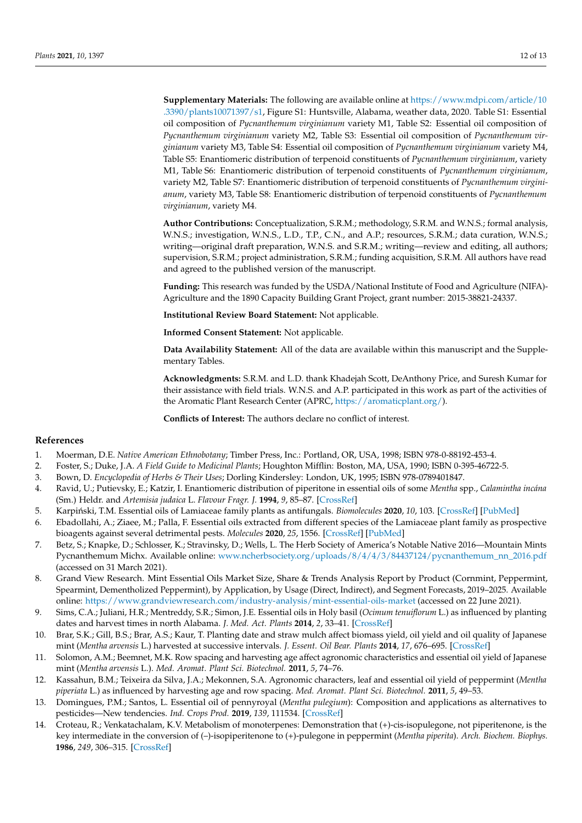**Supplementary Materials:** The following are available online at [https://www.mdpi.com/article/10](https://www.mdpi.com/article/10.3390/plants10071397/s1) [.3390/plants10071397/s1,](https://www.mdpi.com/article/10.3390/plants10071397/s1) Figure S1: Huntsville, Alabama, weather data, 2020. Table S1: Essential oil composition of *Pycnanthemum virginianum* variety M1, Table S2: Essential oil composition of *Pycnanthemum virginianum* variety M2, Table S3: Essential oil composition of *Pycnanthemum virginianum* variety M3, Table S4: Essential oil composition of *Pycnanthemum virginianum* variety M4, Table S5: Enantiomeric distribution of terpenoid constituents of *Pycnanthemum virginianum*, variety M1, Table S6: Enantiomeric distribution of terpenoid constituents of *Pycnanthemum virginianum*, variety M2, Table S7: Enantiomeric distribution of terpenoid constituents of *Pycnanthemum virginianum*, variety M3, Table S8: Enantiomeric distribution of terpenoid constituents of *Pycnanthemum virginianum*, variety M4.

**Author Contributions:** Conceptualization, S.R.M.; methodology, S.R.M. and W.N.S.; formal analysis, W.N.S.; investigation, W.N.S., L.D., T.P., C.N., and A.P.; resources, S.R.M.; data curation, W.N.S.; writing—original draft preparation, W.N.S. and S.R.M.; writing—review and editing, all authors; supervision, S.R.M.; project administration, S.R.M.; funding acquisition, S.R.M. All authors have read and agreed to the published version of the manuscript.

**Funding:** This research was funded by the USDA/National Institute of Food and Agriculture (NIFA)- Agriculture and the 1890 Capacity Building Grant Project, grant number: 2015-38821-24337.

**Institutional Review Board Statement:** Not applicable.

**Informed Consent Statement:** Not applicable.

**Data Availability Statement:** All of the data are available within this manuscript and the Supplementary Tables.

**Acknowledgments:** S.R.M. and L.D. thank Khadejah Scott, DeAnthony Price, and Suresh Kumar for their assistance with field trials. W.N.S. and A.P. participated in this work as part of the activities of the Aromatic Plant Research Center (APRC, [https://aromaticplant.org/\)](https://aromaticplant.org/).

**Conflicts of Interest:** The authors declare no conflict of interest.

## **References**

- <span id="page-11-0"></span>1. Moerman, D.E. *Native American Ethnobotany*; Timber Press, Inc.: Portland, OR, USA, 1998; ISBN 978-0-88192-453-4.
- <span id="page-11-1"></span>2. Foster, S.; Duke, J.A. *A Field Guide to Medicinal Plants*; Houghton Mifflin: Boston, MA, USA, 1990; ISBN 0-395-46722-5.
- <span id="page-11-2"></span>3. Bown, D. *Encyclopedia of Herbs & Their Uses*; Dorling Kindersley: London, UK, 1995; ISBN 978-0789401847.
- <span id="page-11-3"></span>4. Ravid, U.; Putievsky, E.; Katzir, I. Enantiomeric distribution of piperitone in essential oils of some *Mentha* spp., *Calamintha incána* (Sm.) Heldr. and *Artemisia judaica* L. *Flavour Fragr. J.* **1994**, *9*, 85–87. [\[CrossRef\]](http://doi.org/10.1002/ffj.2730090210)
- <span id="page-11-4"></span>5. Karpiński, T.M. Essential oils of Lamiaceae family plants as antifungals. *Biomolecules* 2020, 10, 103. [\[CrossRef\]](http://doi.org/10.3390/biom10010103) [\[PubMed\]](http://www.ncbi.nlm.nih.gov/pubmed/31936168)
- <span id="page-11-5"></span>6. Ebadollahi, A.; Ziaee, M.; Palla, F. Essential oils extracted from different species of the Lamiaceae plant family as prospective bioagents against several detrimental pests. *Molecules* **2020**, *25*, 1556. [\[CrossRef\]](http://doi.org/10.3390/molecules25071556) [\[PubMed\]](http://www.ncbi.nlm.nih.gov/pubmed/32231104)
- <span id="page-11-6"></span>7. Betz, S.; Knapke, D.; Schlosser, K.; Stravinsky, D.; Wells, L. The Herb Society of America's Notable Native 2016—Mountain Mints Pycnanthemum Michx. Available online: [www.ncherbsociety.org/uploads/8/4/4/3/84437124/pycnanthemum\\_nn\\_2016.pdf](www.ncherbsociety.org/uploads/8/4/4/3/84437124/pycnanthemum_nn_2016.pdf) (accessed on 31 March 2021).
- <span id="page-11-7"></span>8. Grand View Research. Mint Essential Oils Market Size, Share & Trends Analysis Report by Product (Cornmint, Peppermint, Spearmint, Dementholized Peppermint), by Application, by Usage (Direct, Indirect), and Segment Forecasts, 2019–2025. Available online: <https://www.grandviewresearch.com/industry-analysis/mint-essential-oils-market> (accessed on 22 June 2021).
- <span id="page-11-8"></span>9. Sims, C.A.; Juliani, H.R.; Mentreddy, S.R.; Simon, J.E. Essential oils in Holy basil (*Ocimum tenuiflorum* L.) as influenced by planting dates and harvest times in north Alabama. *J. Med. Act. Plants* **2014**, *2*, 33–41. [\[CrossRef\]](http://doi.org/10.7275/R5P26W1X)
- <span id="page-11-10"></span>10. Brar, S.K.; Gill, B.S.; Brar, A.S.; Kaur, T. Planting date and straw mulch affect biomass yield, oil yield and oil quality of Japanese mint (*Mentha arvensis* L.) harvested at successive intervals. *J. Essent. Oil Bear. Plants* **2014**, *17*, 676–695. [\[CrossRef\]](http://doi.org/10.1080/0972060X.2014.958549)
- <span id="page-11-11"></span>11. Solomon, A.M.; Beemnet, M.K. Row spacing and harvesting age affect agronomic characteristics and essential oil yield of Japanese mint (*Mentha arvensis* L.). *Med. Aromat. Plant Sci. Biotechnol.* **2011**, *5*, 74–76.
- <span id="page-11-9"></span>12. Kassahun, B.M.; Teixeira da Silva, J.A.; Mekonnen, S.A. Agronomic characters, leaf and essential oil yield of peppermint (*Mentha piperiata* L.) as influenced by harvesting age and row spacing. *Med. Aromat. Plant Sci. Biotechnol.* **2011**, *5*, 49–53.
- <span id="page-11-12"></span>13. Domingues, P.M.; Santos, L. Essential oil of pennyroyal (*Mentha pulegium*): Composition and applications as alternatives to pesticides—New tendencies. *Ind. Crops Prod.* **2019**, *139*, 111534. [\[CrossRef\]](http://doi.org/10.1016/j.indcrop.2019.111534)
- <span id="page-11-13"></span>14. Croteau, R.; Venkatachalam, K.V. Metabolism of monoterpenes: Demonstration that (+)-cis-isopulegone, not piperitenone, is the key intermediate in the conversion of (–)-isopiperitenone to (+)-pulegone in peppermint (*Mentha piperita*). *Arch. Biochem. Biophys.* **1986**, *249*, 306–315. [\[CrossRef\]](http://doi.org/10.1016/0003-9861(86)90007-X)